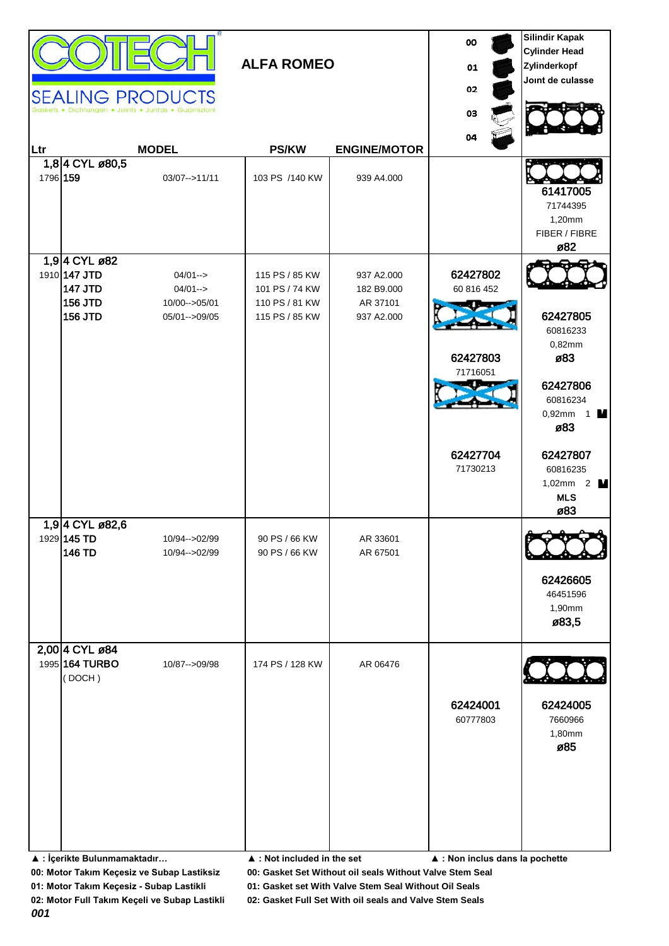|     |                                                                                        | <b>SEALING PRODUCTS</b>                                         | <b>ALFA ROMEO</b>                                                    |                                                    | 00<br>01<br>02                                                         | <b>Silindir Kapak</b><br><b>Cylinder Head</b><br>Zylinderkopf<br>Joint de culasse                                                               |
|-----|----------------------------------------------------------------------------------------|-----------------------------------------------------------------|----------------------------------------------------------------------|----------------------------------------------------|------------------------------------------------------------------------|-------------------------------------------------------------------------------------------------------------------------------------------------|
| Ltr |                                                                                        | Dichtungen . Joints . Juntas . Guarnizion<br><b>MODEL</b>       | <b>PS/KW</b>                                                         | <b>ENGINE/MOTOR</b>                                | 03<br>04                                                               |                                                                                                                                                 |
|     | 1,84 CYL ø80,5<br>1796 159                                                             | 03/07-->11/11                                                   | 103 PS /140 KW                                                       | 939 A4.000                                         |                                                                        | 61417005<br>71744395<br>1,20mm<br>FIBER / FIBRE<br>ø82                                                                                          |
|     | 1,94 CYL ø82<br>1910 147 JTD<br><b>147 JTD</b><br>156 JTD<br>156 JTD<br>1,94 CYL ø82,6 | $04/01 - >$<br>$04/01 - >$<br>10/00 -- > 05/01<br>05/01-->09/05 | 115 PS / 85 KW<br>101 PS / 74 KW<br>110 PS / 81 KW<br>115 PS / 85 KW | 937 A2.000<br>182 B9.000<br>AR 37101<br>937 A2.000 | 62427802<br>60 816 452<br>62427803<br>71716051<br>62427704<br>71730213 | 62427805<br>60816233<br>0,82mm<br>ø83<br>62427806<br>60816234<br>$0,92mm$ 1<br>ø83<br>62427807<br>60816235<br>1,02mm $2$ M<br><b>MLS</b><br>ø83 |
|     | 1929 145 TD<br>146 TD<br>2,00 4 CYL ø84                                                | 10/94-->02/99<br>10/94-->02/99                                  | 90 PS / 66 KW<br>90 PS / 66 KW                                       | AR 33601<br>AR 67501                               |                                                                        | 62426605<br>46451596<br>1,90mm<br>ø83,5                                                                                                         |
|     | 1995 164 TURBO<br>(DOCH)<br>▲ : İçerikte Bulunmamaktadır                               | 10/87 -- > 09/98                                                | 174 PS / 128 KW<br>▲ : Not included in the set                       | AR 06476                                           | 62424001<br>60777803<br>▲ : Non inclus dans la pochette                | 62424005<br>7660966<br>1,80mm<br>ø85                                                                                                            |

**00: Motor Takım Keçesiz ve Subap Lastiksiz 00: Gasket Set Without oil seals Without Valve Stem Seal**

**01: Motor Takım Keçesiz - Subap Lastikli 01: Gasket set With Valve Stem Seal Without Oil Seals**

*001*

**02: Motor Full Takım Keçeli ve Subap Lastikli 02: Gasket Full Set With oil seals and Valve Stem Seals**